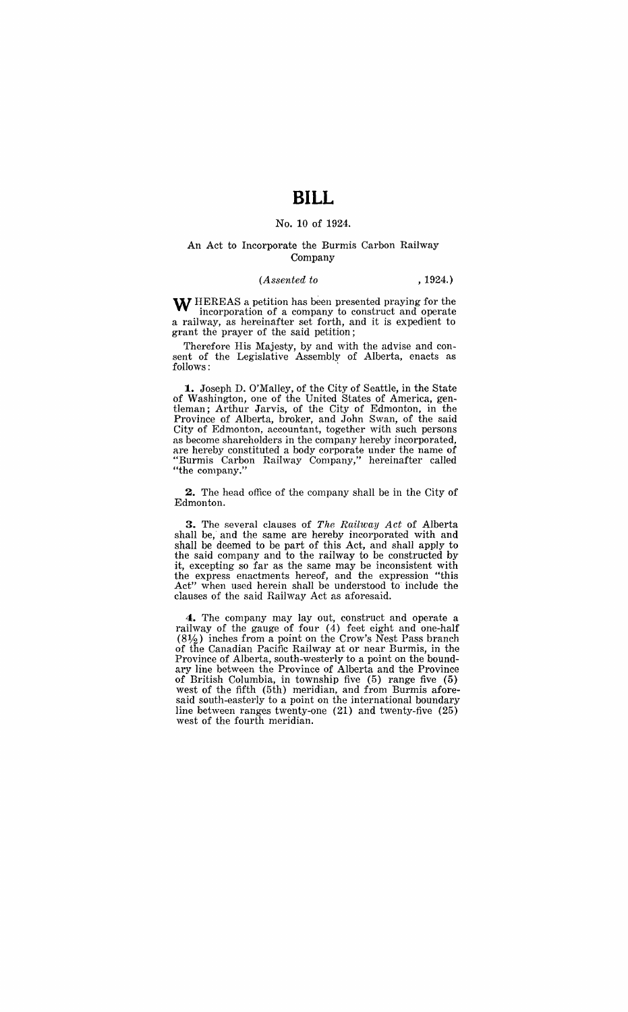# **BILL**

### No. 10 of 1924.

#### An Act to Incorporate the Burmis Carbon Railway Company

#### *(Assented to* , 1924.)

W HEREAS a petition has been presented praying for the incorporation of a company to construct and operate a railway, as hereinafter set forth, and it is expedient to grant the prayer of the said petition;

Therefore His Majesty, by and with the advise and consent of the Legislative Assembly of Alberta, enacts as follows:

**1..** Joseph D. O'Malley, of the City of Seattle, in the State of Washington, one of the United States of America, gentleman; Arthur Jarvis, of the City of Edmonton, in the Province of Alberta, broker, and John Swan, of the said City of Edmonton, accountant, together with such persons as become shareholders in the company hereby incorporated, are hereby constituted a body corporate under the name of "Burmis Carbon Railway Company," hereinafter called "the company."

**2.** The head office of the company shall be in the City of Edmonton.

**3.** The several clauses of *The Railway Act* of Alberta shall be, and the same are hereby incorporated with and shall be deemed to be part of this Act, and shall apply to the said company and to the railway to be constructed by it, excepting so far as the same may be inconsistent with the express enactments hereof, and the expression "this Act" when used herein shall be understood to include the clauses of the said Railway Act as aforesaid.

**4.** The company may layout, construct and operate a railway of the gauge of four (4) feet eight and one-half  $(8\frac{1}{2})$  inches from a point on the Crow's Nest Pass branch of the Canadian Pacific Railway at or near Burmis, in the Province of Alberta, south-westerly to a point on the boundary line between the Province of Alberta and the Province of British Columbia, in township five (5) range five (5) west of the fifth (5th) meridian, and from Burmis aforesaid south-easterly to a point on the international boundary line between ranges twenty-one (21) and twenty-five (25) west of the fourth meridian.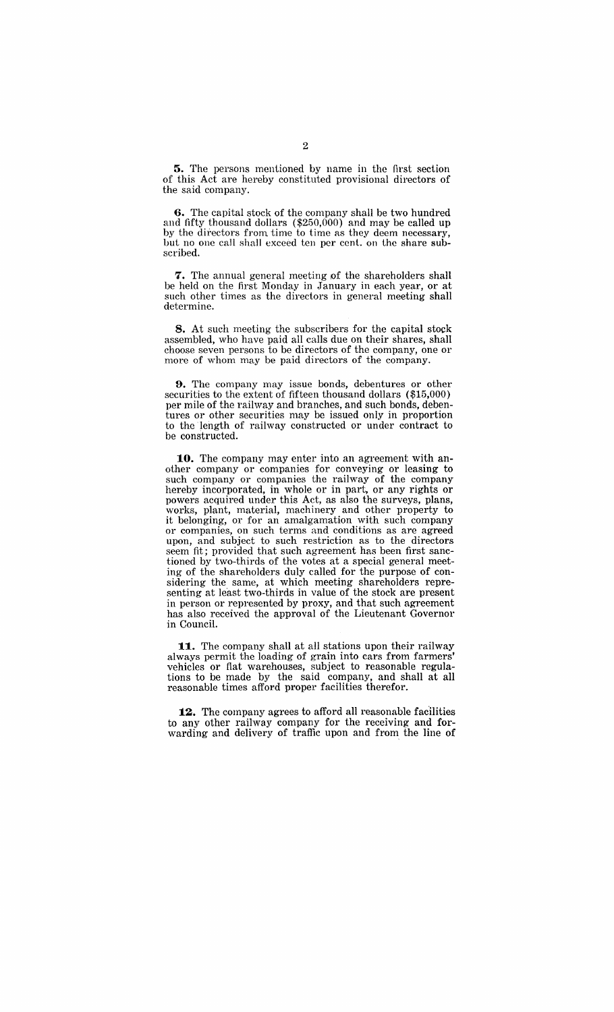**5.** The persons mentioned by name in the first section of this Act are hereby constituted provisional directors of the said company.

**6.** The capital stock of the company shall be two hundred and fifty thousand dollars  $(\$250,000)$  and may be called up by the directors from. time to time as they deem necessary, but no one call shall exceed ten per cent. on the share subscribed.

**7.** The annual general meeting of the shareholders shall be held on the first Monday in January in each year, or at such other times as the directors in general meeting shall determine.

**8.** At such meeting the subscribers for the capital stock assembled, who have paid all calls due on their shares, shall choose seven persons to be directors of the company, one or more of whom may be paid directors of the company.

**9.** The company may issue bonds, debentures or other securities to the extent of fifteen thousand dollars (\$15,000) per mile of the railway and branches, and such bonds, debentures or other securities may be issued only in proportion to the length of railway constructed or under contract to be constructed.

**10.** The company may enter into an agreement with another company or companies for conveying or leasing to such company or companies the railway of the company hereby incorporated, in whole or in part, or any rights or powers acquired under this Act, as also the surveys, plans, works, plant, material, machinery and other property to it belonging, or for an amalgamation with such company or companies, on such terms and conditions as are agreed upon, and subject to such restriction as to the directors seem fit; provided that such agreement has been first sanctioned by two-thirds of the votes at a special general meeting of the shareholders duly called for the purpose of considering the same, at which meeting shareholders representing at least two-thirds in value of the stock are present in person or represented by proxy, and that such agreement has also received the approval of the Lieutenant Governor in Council.

11. The company shall at all stations upon their railway always permit the loading of grain into cars from farmers' vehicles or fiat warehouses, subject to reasonable regulations to be made by the said company, and shall at all reasonable times afford proper facilities therefor.

12. The company agrees to afford all reasonable facilities to any other railway company for the receiving and forwarding and delivery of traffic upon and from the line of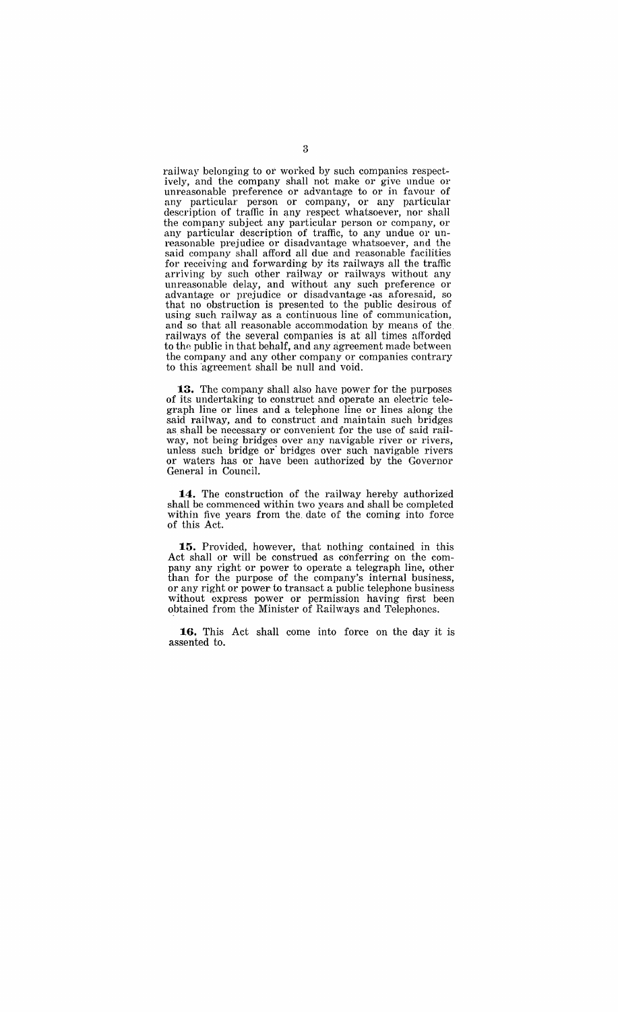railway belonging to *ot* worked by such companies respectively, and the company shall not make or give undue or unreasonable preference or advantage to or in favour of any particular person or company, or any particular description of traffic in any respect Whatsoever, nor shall the company subject any particular person or company, or any particular description of traffic, to any undue or unreasonable prejudice or disadvantage whatsoever, and the said company shall afford all due and reasonable facilities for receiving and forwarding by its railways all the traffic arriving by such other railway or railways without any unreasonable delay, and without any such preference or advantage or prejudice or disadvantage -as aforesaid, so that no obstruction is presented to the public desirous of using such railway as a continuous line of communication, and so that all reasonable accommodation by means of the railways of the several companies is at all times afforded to the public in that behalf, and any agreement made between the company and any other company or companies contrary to this agreement shall be null and void.

**:13.** The company shall also have power for the purposes of its undertaking to construct and operate an electric telegraph line or lines and a telephone line or lines along the said railway, and to construct and maintain such bridges as shall be necessary or convenient for the use of said railway, not being bridges over any navigable river or rivers, unless such bridge or' bridges over such navigable rivers or waters has or have been authorized by the Governor General in Council.

**:14.** The construction of the railway hereby authorized shall be commenced within two years and shall be completed within five years from the. date of the coming into force of this Act.

**:15.** Provided, however, that nothing contained in this Act shall or will be construed as conferring on the company any right or power to operate a telegraph line, other than for the purpose of the company's internal business, or any right or power to transact a public telephone business without express power or permission having first been obtained from the Minister of Railways and Telephones.

**:16.** This Act shall come into force on the day it is assented to.